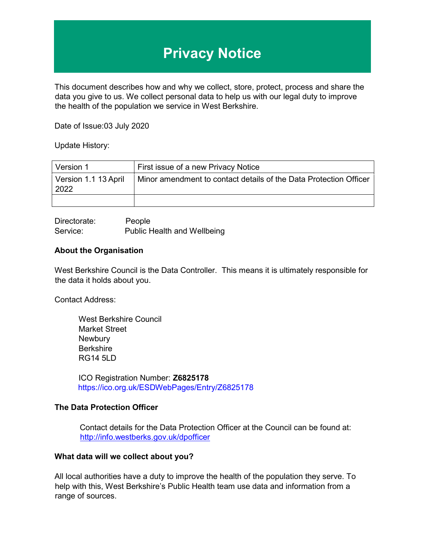# **Privacy Notice**

This document describes how and why we collect, store, protect, process and share the data you give to us. We collect personal data to help us with our legal duty to improve the health of the population we service in West Berkshire.

Date of Issue:03 July 2020

Update History:

| Version 1                    | First issue of a new Privacy Notice                               |
|------------------------------|-------------------------------------------------------------------|
| Version 1.1 13 April<br>2022 | Minor amendment to contact details of the Data Protection Officer |
|                              |                                                                   |

Directorate: People Service: Public Health and Wellbeing

#### **About the Organisation**

West Berkshire Council is the Data Controller. This means it is ultimately responsible for the data it holds about you.

Contact Address:

West Berkshire Council Market Street **Newbury Berkshire** RG14 5LD

ICO Registration Number: **Z6825178**  https://ico.org.uk/ESDWebPages/Entry/Z6825178

## **The Data Protection Officer**

Contact details for the Data Protection Officer at the Council can be found at: <http://info.westberks.gov.uk/dpofficer>

## **What data will we collect about you?**

All local authorities have a duty to improve the health of the population they serve. To help with this, West Berkshire's Public Health team use data and information from a range of sources.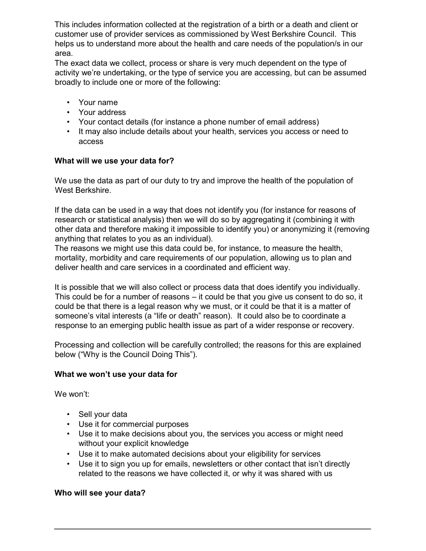This includes information collected at the registration of a birth or a death and client or customer use of provider services as commissioned by West Berkshire Council. This helps us to understand more about the health and care needs of the population/s in our area.

The exact data we collect, process or share is very much dependent on the type of activity we're undertaking, or the type of service you are accessing, but can be assumed broadly to include one or more of the following:

- Your name
- Your address
- Your contact details (for instance a phone number of email address)
- It may also include details about your health, services you access or need to access

## **What will we use your data for?**

We use the data as part of our duty to try and improve the health of the population of West Berkshire.

If the data can be used in a way that does not identify you (for instance for reasons of research or statistical analysis) then we will do so by aggregating it (combining it with other data and therefore making it impossible to identify you) or anonymizing it (removing anything that relates to you as an individual).

The reasons we might use this data could be, for instance, to measure the health, mortality, morbidity and care requirements of our population, allowing us to plan and deliver health and care services in a coordinated and efficient way.

It is possible that we will also collect or process data that does identify you individually. This could be for a number of reasons – it could be that you give us consent to do so, it could be that there is a legal reason why we must, or it could be that it is a matter of someone's vital interests (a "life or death" reason). It could also be to coordinate a response to an emerging public health issue as part of a wider response or recovery.

Processing and collection will be carefully controlled; the reasons for this are explained below ("Why is the Council Doing This").

## **What we won't use your data for**

We won't:

- Sell your data
- Use it for commercial purposes
- Use it to make decisions about you, the services you access or might need without your explicit knowledge
- Use it to make automated decisions about your eligibility for services
- Use it to sign you up for emails, newsletters or other contact that isn't directly related to the reasons we have collected it, or why it was shared with us

## **Who will see your data?**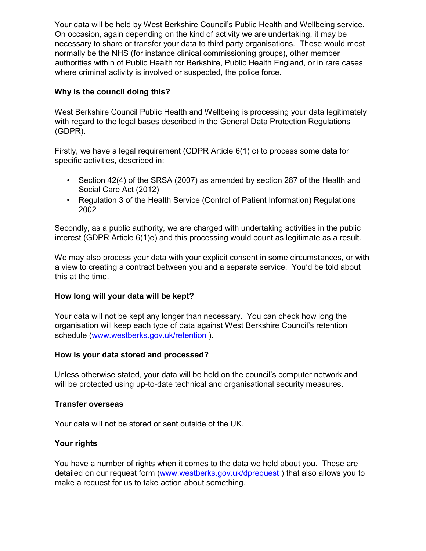Your data will be held by West Berkshire Council's Public Health and Wellbeing service. On occasion, again depending on the kind of activity we are undertaking, it may be necessary to share or transfer your data to third party organisations. These would most normally be the NHS (for instance clinical commissioning groups), other member authorities within of Public Health for Berkshire, Public Health England, or in rare cases where criminal activity is involved or suspected, the police force.

## **Why is the council doing this?**

West Berkshire Council Public Health and Wellbeing is processing your data legitimately with regard to the legal bases described in the General Data Protection Regulations (GDPR).

Firstly, we have a legal requirement (GDPR Article 6(1) c) to process some data for specific activities, described in:

- Section 42(4) of the SRSA (2007) as amended by section 287 of the Health and Social Care Act (2012)
- Regulation 3 of the Health Service (Control of Patient Information) Regulations 2002

Secondly, as a public authority, we are charged with undertaking activities in the public interest (GDPR Article 6(1)e) and this processing would count as legitimate as a result.

We may also process your data with your explicit consent in some circumstances, or with a view to creating a contract between you and a separate service. You'd be told about this at the time.

## **How long will your data will be kept?**

Your data will not be kept any longer than necessary. You can check how long the organisation will keep each type of data against West Berkshire Council's retention schedule (www.westberks.gov.uk/retention ).

## **How is your data stored and processed?**

Unless otherwise stated, your data will be held on the council's computer network and will be protected using up-to-date technical and organisational security measures.

## **Transfer overseas**

Your data will not be stored or sent outside of the UK.

## **Your rights**

You have a number of rights when it comes to the data we hold about you. These are detailed on our request form (www.westberks.gov.uk/dprequest ) that also allows you to make a request for us to take action about something.